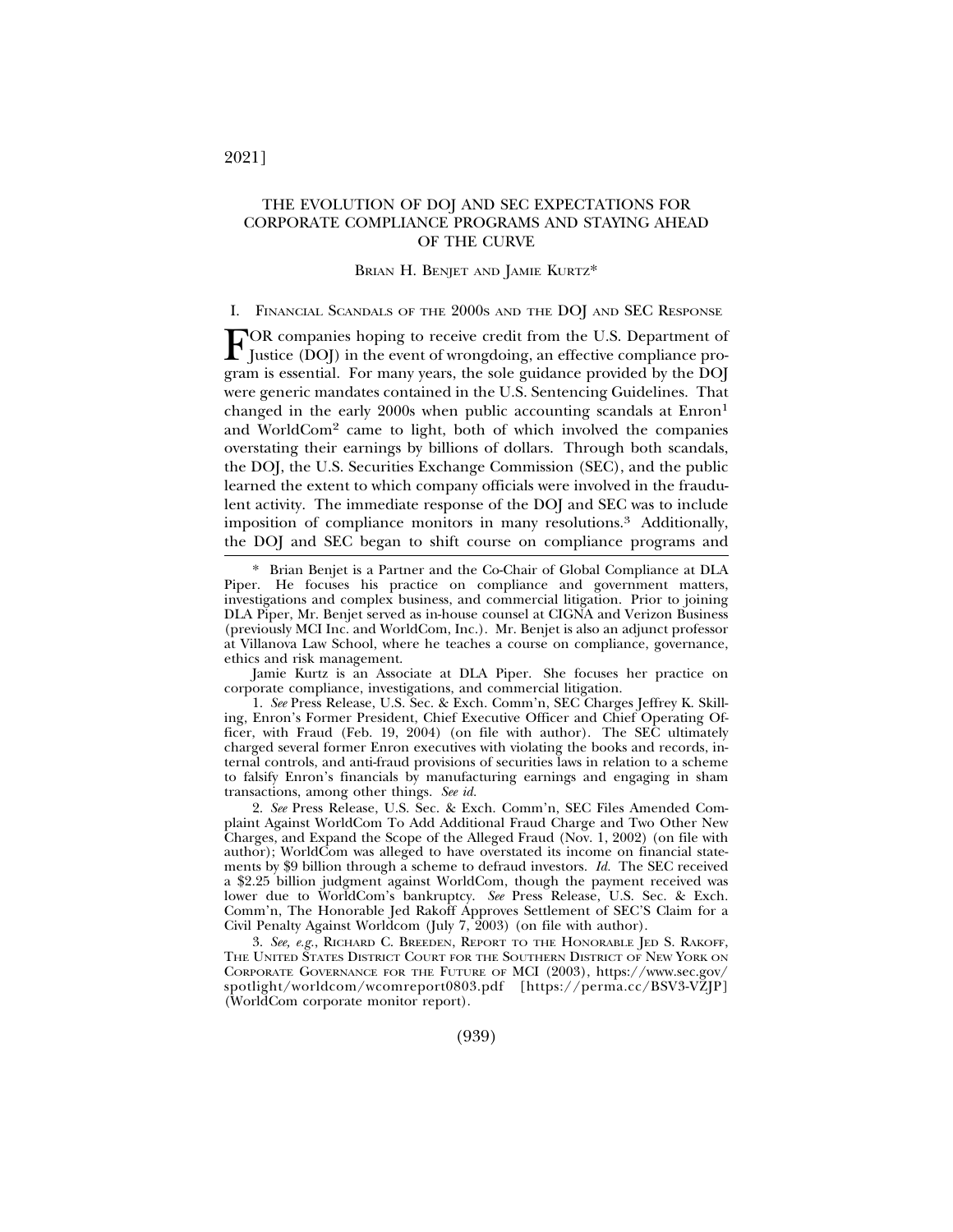# THE EVOLUTION OF DOJ AND SEC EXPECTATIONS FOR CORPORATE COMPLIANCE PROGRAMS AND STAYING AHEAD OF THE CURVE

#### BRIAN H. BENJET AND JAMIE KURTZ\*

#### I. FINANCIAL SCANDALS OF THE 2000S AND THE DOJ AND SEC RESPONSE

FOR companies hoping to receive credit from the U.S. Department of Justice (DOJ) in the event of wrongdoing, an effective compliance program is essential. For many years, the sole guidance provided by the DOJ were generic mandates contained in the U.S. Sentencing Guidelines. That changed in the early 2000s when public accounting scandals at Enron1 and WorldCom2 came to light, both of which involved the companies overstating their earnings by billions of dollars. Through both scandals, the DOJ, the U.S. Securities Exchange Commission (SEC), and the public learned the extent to which company officials were involved in the fraudulent activity. The immediate response of the DOJ and SEC was to include imposition of compliance monitors in many resolutions.3 Additionally, the DOJ and SEC began to shift course on compliance programs and

Jamie Kurtz is an Associate at DLA Piper. She focuses her practice on corporate compliance, investigations, and commercial litigation.

1. *See* Press Release, U.S. Sec. & Exch. Comm'n, SEC Charges Jeffrey K. Skilling, Enron's Former President, Chief Executive Officer and Chief Operating Officer, with Fraud (Feb. 19, 2004) (on file with author). The SEC ultimately charged several former Enron executives with violating the books and records, internal controls, and anti-fraud provisions of securities laws in relation to a scheme to falsify Enron's financials by manufacturing earnings and engaging in sham transactions, among other things. *See id.*

2. *See* Press Release, U.S. Sec. & Exch. Comm'n, SEC Files Amended Complaint Against WorldCom To Add Additional Fraud Charge and Two Other New Charges, and Expand the Scope of the Alleged Fraud (Nov. 1, 2002) (on file with author); WorldCom was alleged to have overstated its income on financial statements by \$9 billion through a scheme to defraud investors. *Id.* The SEC received a \$2.25 billion judgment against WorldCom, though the payment received was lower due to WorldCom's bankruptcy. *See* Press Release, U.S. Sec. & Exch. Comm'n, The Honorable Jed Rakoff Approves Settlement of SEC'S Claim for a Civil Penalty Against Worldcom (July 7, 2003) (on file with author).

3. *See, e.g.*, RICHARD C. BREEDEN, REPORT TO THE HONORABLE JED S. RAKOFF, THE UNITED STATES DISTRICT COURT FOR THE SOUTHERN DISTRICT OF NEW YORK ON CORPORATE GOVERNANCE FOR THE FUTURE OF MCI (2003), https://www.sec.gov/ spotlight/worldcom/wcomreport0803.pdf [https://perma.cc/BSV3-VZJP] (WorldCom corporate monitor report).

2021]

<sup>\*</sup> Brian Benjet is a Partner and the Co-Chair of Global Compliance at DLA Piper. He focuses his practice on compliance and government matters, investigations and complex business, and commercial litigation. Prior to joining DLA Piper, Mr. Benjet served as in-house counsel at CIGNA and Verizon Business (previously MCI Inc. and WorldCom, Inc.). Mr. Benjet is also an adjunct professor at Villanova Law School, where he teaches a course on compliance, governance, ethics and risk management.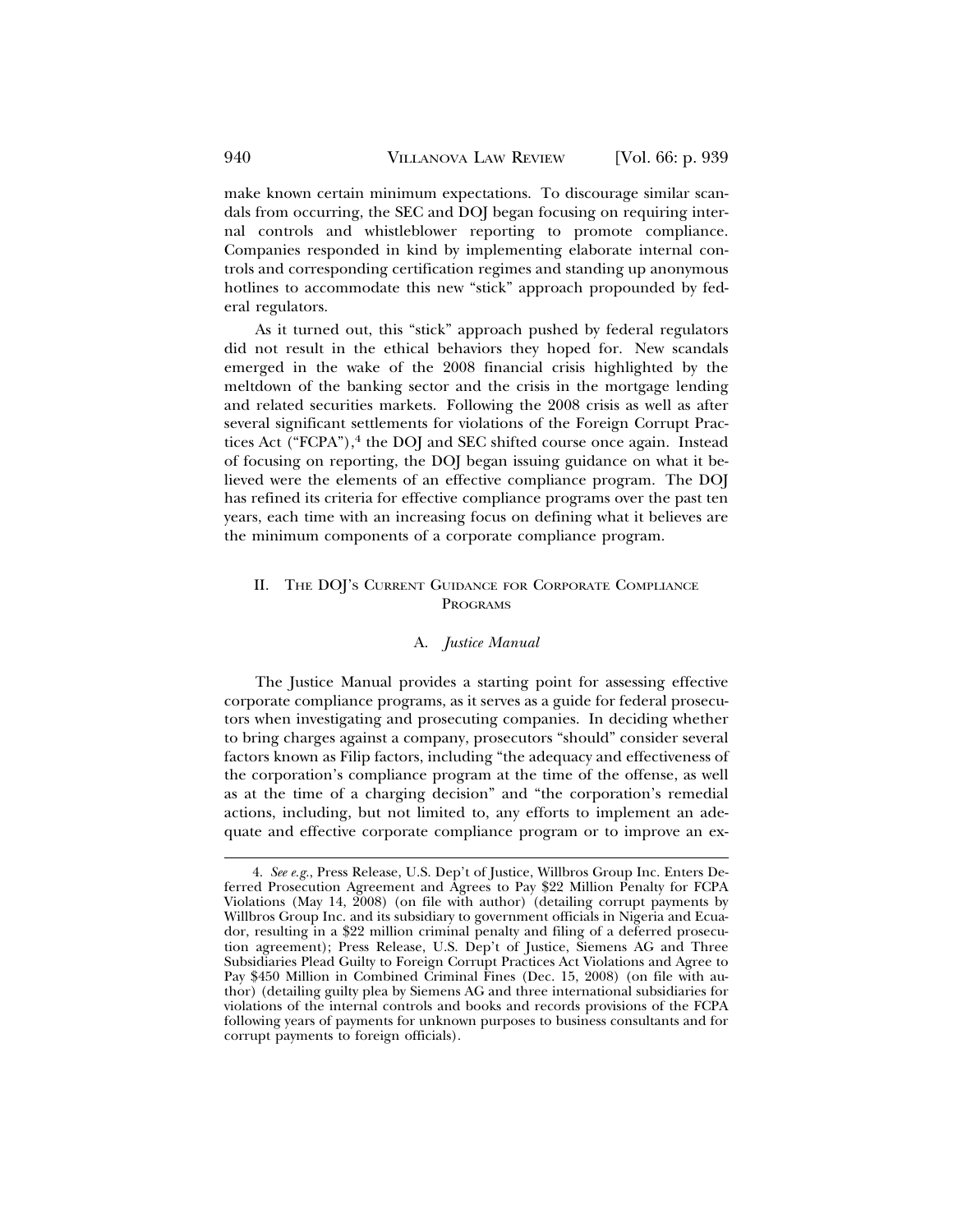make known certain minimum expectations. To discourage similar scandals from occurring, the SEC and DOJ began focusing on requiring internal controls and whistleblower reporting to promote compliance. Companies responded in kind by implementing elaborate internal controls and corresponding certification regimes and standing up anonymous hotlines to accommodate this new "stick" approach propounded by federal regulators.

As it turned out, this "stick" approach pushed by federal regulators did not result in the ethical behaviors they hoped for. New scandals emerged in the wake of the 2008 financial crisis highlighted by the meltdown of the banking sector and the crisis in the mortgage lending and related securities markets. Following the 2008 crisis as well as after several significant settlements for violations of the Foreign Corrupt Practices Act ("FCPA"),<sup>4</sup> the DOJ and SEC shifted course once again. Instead of focusing on reporting, the DOJ began issuing guidance on what it believed were the elements of an effective compliance program. The DOJ has refined its criteria for effective compliance programs over the past ten years, each time with an increasing focus on defining what it believes are the minimum components of a corporate compliance program.

# II. THE DOJ'S CURRENT GUIDANCE FOR CORPORATE COMPLIANCE PROGRAMS

## A. *Justice Manual*

The Justice Manual provides a starting point for assessing effective corporate compliance programs, as it serves as a guide for federal prosecutors when investigating and prosecuting companies. In deciding whether to bring charges against a company, prosecutors "should" consider several factors known as Filip factors, including "the adequacy and effectiveness of the corporation's compliance program at the time of the offense, as well as at the time of a charging decision" and "the corporation's remedial actions, including, but not limited to, any efforts to implement an adequate and effective corporate compliance program or to improve an ex-

<sup>4.</sup> *See e.g.*, Press Release, U.S. Dep't of Justice, Willbros Group Inc. Enters Deferred Prosecution Agreement and Agrees to Pay \$22 Million Penalty for FCPA Violations (May 14, 2008) (on file with author) (detailing corrupt payments by Willbros Group Inc. and its subsidiary to government officials in Nigeria and Ecuador, resulting in a \$22 million criminal penalty and filing of a deferred prosecution agreement); Press Release, U.S. Dep't of Justice, Siemens AG and Three Subsidiaries Plead Guilty to Foreign Corrupt Practices Act Violations and Agree to Pay \$450 Million in Combined Criminal Fines (Dec. 15, 2008) (on file with author) (detailing guilty plea by Siemens AG and three international subsidiaries for violations of the internal controls and books and records provisions of the FCPA following years of payments for unknown purposes to business consultants and for corrupt payments to foreign officials).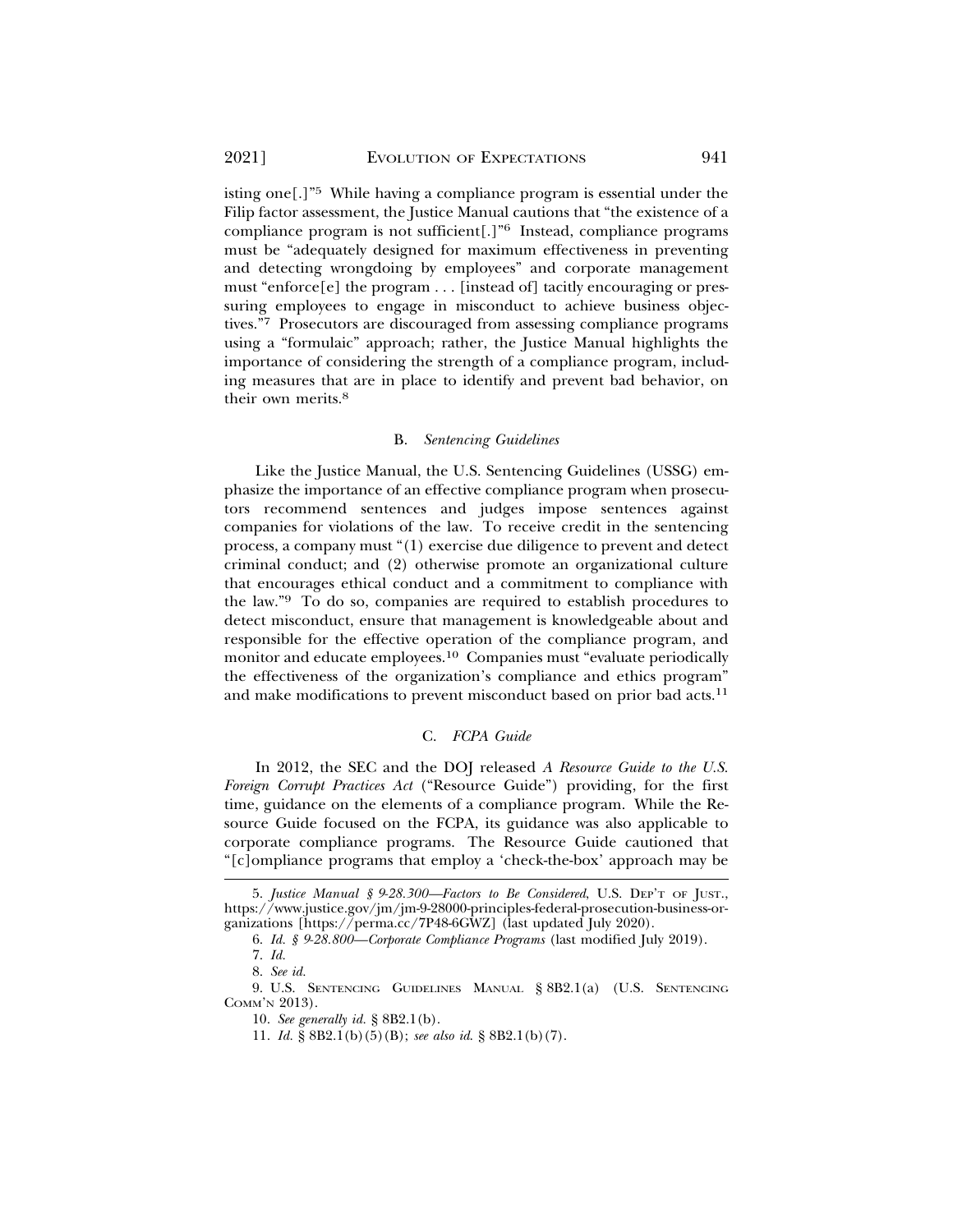isting one[.]"5 While having a compliance program is essential under the Filip factor assessment, the Justice Manual cautions that "the existence of a compliance program is not sufficient[.]"6 Instead, compliance programs must be "adequately designed for maximum effectiveness in preventing and detecting wrongdoing by employees" and corporate management must "enforce[e] the program  $\dots$  [instead of] tacitly encouraging or pressuring employees to engage in misconduct to achieve business objectives."7 Prosecutors are discouraged from assessing compliance programs using a "formulaic" approach; rather, the Justice Manual highlights the importance of considering the strength of a compliance program, including measures that are in place to identify and prevent bad behavior, on their own merits.8

## B. *Sentencing Guidelines*

Like the Justice Manual, the U.S. Sentencing Guidelines (USSG) emphasize the importance of an effective compliance program when prosecutors recommend sentences and judges impose sentences against companies for violations of the law. To receive credit in the sentencing process, a company must "(1) exercise due diligence to prevent and detect criminal conduct; and (2) otherwise promote an organizational culture that encourages ethical conduct and a commitment to compliance with the law."9 To do so, companies are required to establish procedures to detect misconduct, ensure that management is knowledgeable about and responsible for the effective operation of the compliance program, and monitor and educate employees.10 Companies must "evaluate periodically the effectiveness of the organization's compliance and ethics program" and make modifications to prevent misconduct based on prior bad acts.<sup>11</sup>

### C. *FCPA Guide*

In 2012, the SEC and the DOJ released *A Resource Guide to the U.S. Foreign Corrupt Practices Act* ("Resource Guide") providing, for the first time, guidance on the elements of a compliance program. While the Resource Guide focused on the FCPA, its guidance was also applicable to corporate compliance programs. The Resource Guide cautioned that "[c]ompliance programs that employ a 'check-the-box' approach may be

<sup>5.</sup> *Justice Manual § 9-28.300—Factors to Be Considered*, U.S. DEP'T OF JUST., https://www.justice.gov/jm/jm-9-28000-principles-federal-prosecution-business-organizations [https://perma.cc/7P48-6GWZ] (last updated July 2020).

<sup>6.</sup> *Id. § 9-28.800—Corporate Compliance Programs* (last modified July 2019).

<sup>7.</sup> *Id.*

<sup>8.</sup> *See id.*

<sup>9.</sup> U.S. SENTENCING GUIDELINES MANUAL § 8B2.1(a) (U.S. SENTENCING COMM'N 2013).

<sup>10.</sup> *See generally id.* § 8B2.1(b).

<sup>11.</sup> *Id.* § 8B2.1(b)(5)(B); *see also id*. § 8B2.1(b)(7).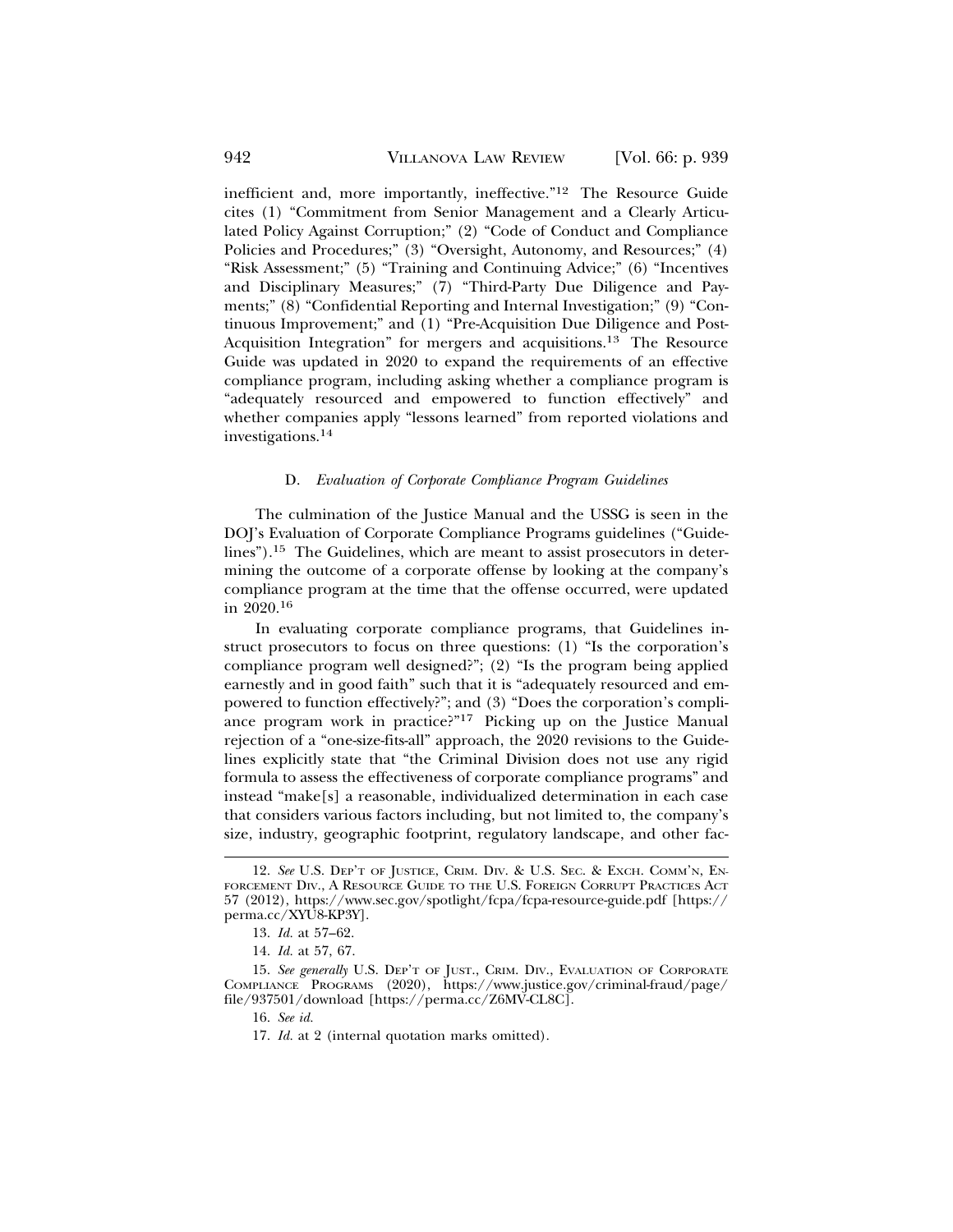inefficient and, more importantly, ineffective."12 The Resource Guide cites (1) "Commitment from Senior Management and a Clearly Articulated Policy Against Corruption;" (2) "Code of Conduct and Compliance Policies and Procedures;" (3) "Oversight, Autonomy, and Resources;" (4) "Risk Assessment;" (5) "Training and Continuing Advice;" (6) "Incentives and Disciplinary Measures;" (7) "Third-Party Due Diligence and Payments;" (8) "Confidential Reporting and Internal Investigation;" (9) "Continuous Improvement;" and (1) "Pre-Acquisition Due Diligence and Post-Acquisition Integration" for mergers and acquisitions.13 The Resource Guide was updated in 2020 to expand the requirements of an effective compliance program, including asking whether a compliance program is "adequately resourced and empowered to function effectively" and whether companies apply "lessons learned" from reported violations and investigations.<sup>14</sup>

### D. *Evaluation of Corporate Compliance Program Guidelines*

The culmination of the Justice Manual and the USSG is seen in the DOJ's Evaluation of Corporate Compliance Programs guidelines ("Guidelines").15 The Guidelines, which are meant to assist prosecutors in determining the outcome of a corporate offense by looking at the company's compliance program at the time that the offense occurred, were updated in 2020.16

In evaluating corporate compliance programs, that Guidelines instruct prosecutors to focus on three questions: (1) "Is the corporation's compliance program well designed?"; (2) "Is the program being applied earnestly and in good faith" such that it is "adequately resourced and empowered to function effectively?"; and (3) "Does the corporation's compliance program work in practice?"17 Picking up on the Justice Manual rejection of a "one-size-fits-all" approach, the 2020 revisions to the Guidelines explicitly state that "the Criminal Division does not use any rigid formula to assess the effectiveness of corporate compliance programs" and instead "make[s] a reasonable, individualized determination in each case that considers various factors including, but not limited to, the company's size, industry, geographic footprint, regulatory landscape, and other fac-

<sup>12.</sup> *See* U.S. DEP'T OF JUSTICE, CRIM. DIV. & U.S. SEC. & EXCH. COMM'N, EN-FORCEMENT DIV., A RESOURCE GUIDE TO THE U.S. FOREIGN CORRUPT PRACTICES ACT 57 (2012), https://www.sec.gov/spotlight/fcpa/fcpa-resource-guide.pdf [https:// perma.cc/XYU8-KP3Y].

<sup>13.</sup> *Id.* at 57–62.

<sup>14.</sup> *Id.* at 57, 67.

<sup>15.</sup> *See generally* U.S. DEP'T OF JUST., CRIM. DIV., EVALUATION OF CORPORATE COMPLIANCE PROGRAMS (2020), https://www.justice.gov/criminal-fraud/page/ file/937501/download [https://perma.cc/Z6MV-CL8C].

<sup>16.</sup> *See id.*

<sup>17.</sup> *Id.* at 2 (internal quotation marks omitted).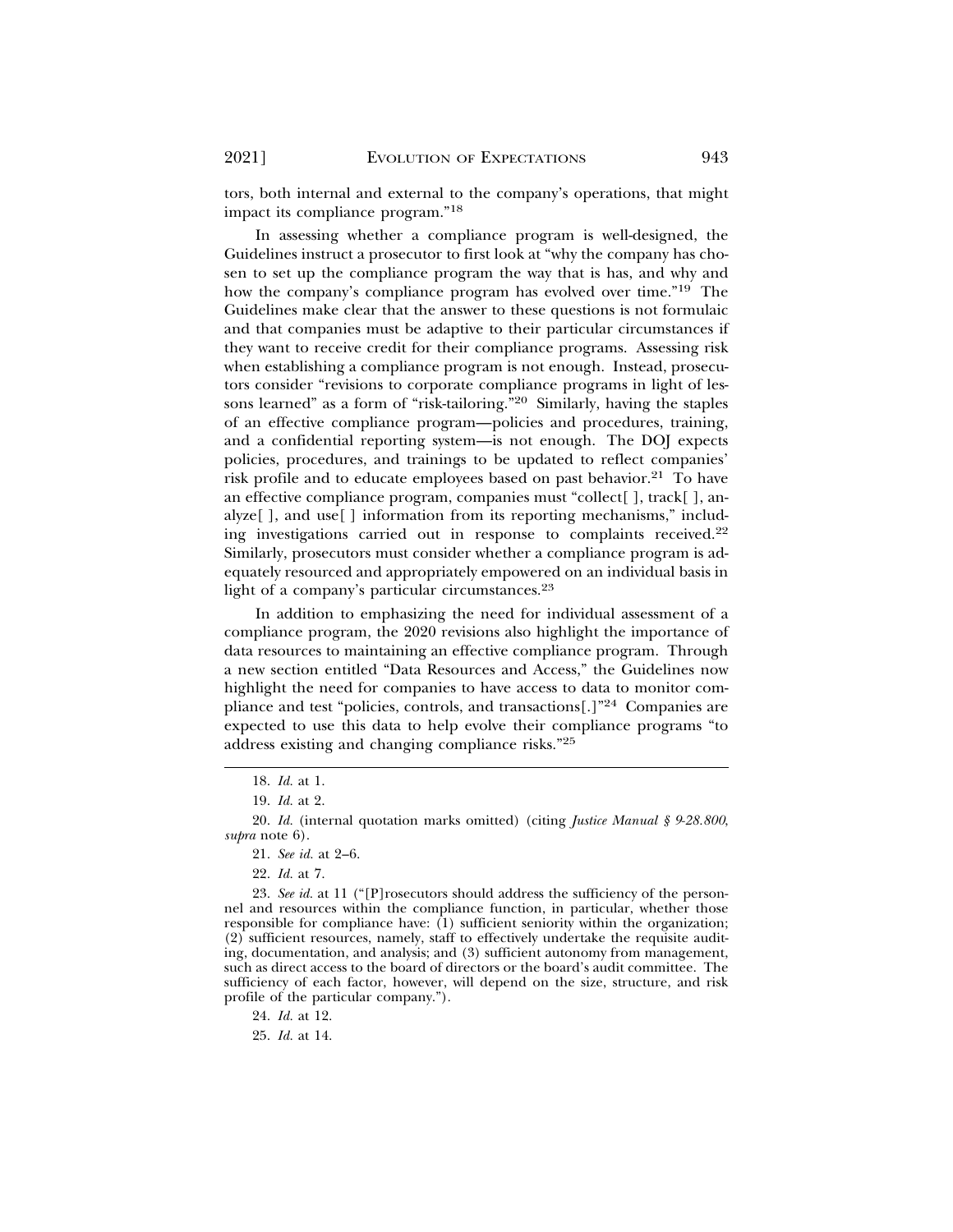tors, both internal and external to the company's operations, that might impact its compliance program."18

In assessing whether a compliance program is well-designed, the Guidelines instruct a prosecutor to first look at "why the company has chosen to set up the compliance program the way that is has, and why and how the company's compliance program has evolved over time."19 The Guidelines make clear that the answer to these questions is not formulaic and that companies must be adaptive to their particular circumstances if they want to receive credit for their compliance programs. Assessing risk when establishing a compliance program is not enough. Instead, prosecutors consider "revisions to corporate compliance programs in light of lessons learned" as a form of "risk-tailoring."20 Similarly, having the staples of an effective compliance program—policies and procedures, training, and a confidential reporting system—is not enough. The DOJ expects policies, procedures, and trainings to be updated to reflect companies' risk profile and to educate employees based on past behavior.<sup>21</sup> To have an effective compliance program, companies must "collect[ ], track[ ], analyze[ ], and use[ ] information from its reporting mechanisms," including investigations carried out in response to complaints received.22 Similarly, prosecutors must consider whether a compliance program is adequately resourced and appropriately empowered on an individual basis in light of a company's particular circumstances.<sup>23</sup>

In addition to emphasizing the need for individual assessment of a compliance program, the 2020 revisions also highlight the importance of data resources to maintaining an effective compliance program. Through a new section entitled "Data Resources and Access," the Guidelines now highlight the need for companies to have access to data to monitor compliance and test "policies, controls, and transactions[.]"24 Companies are expected to use this data to help evolve their compliance programs "to address existing and changing compliance risks."25

<sup>18.</sup> *Id.* at 1.

<sup>19.</sup> *Id.* at 2.

<sup>20.</sup> *Id.* (internal quotation marks omitted) (citing *Justice Manual § 9-28.800*, *supra* note 6).

<sup>21.</sup> *See id.* at 2–6.

<sup>22.</sup> *Id.* at 7.

<sup>23.</sup> *See id.* at 11 ("[P]rosecutors should address the sufficiency of the personnel and resources within the compliance function, in particular, whether those responsible for compliance have:  $(1)$  sufficient seniority within the organization; (2) sufficient resources, namely, staff to effectively undertake the requisite auditing, documentation, and analysis; and (3) sufficient autonomy from management, such as direct access to the board of directors or the board's audit committee. The sufficiency of each factor, however, will depend on the size, structure, and risk profile of the particular company.").

<sup>24.</sup> *Id.* at 12.

<sup>25.</sup> *Id.* at 14.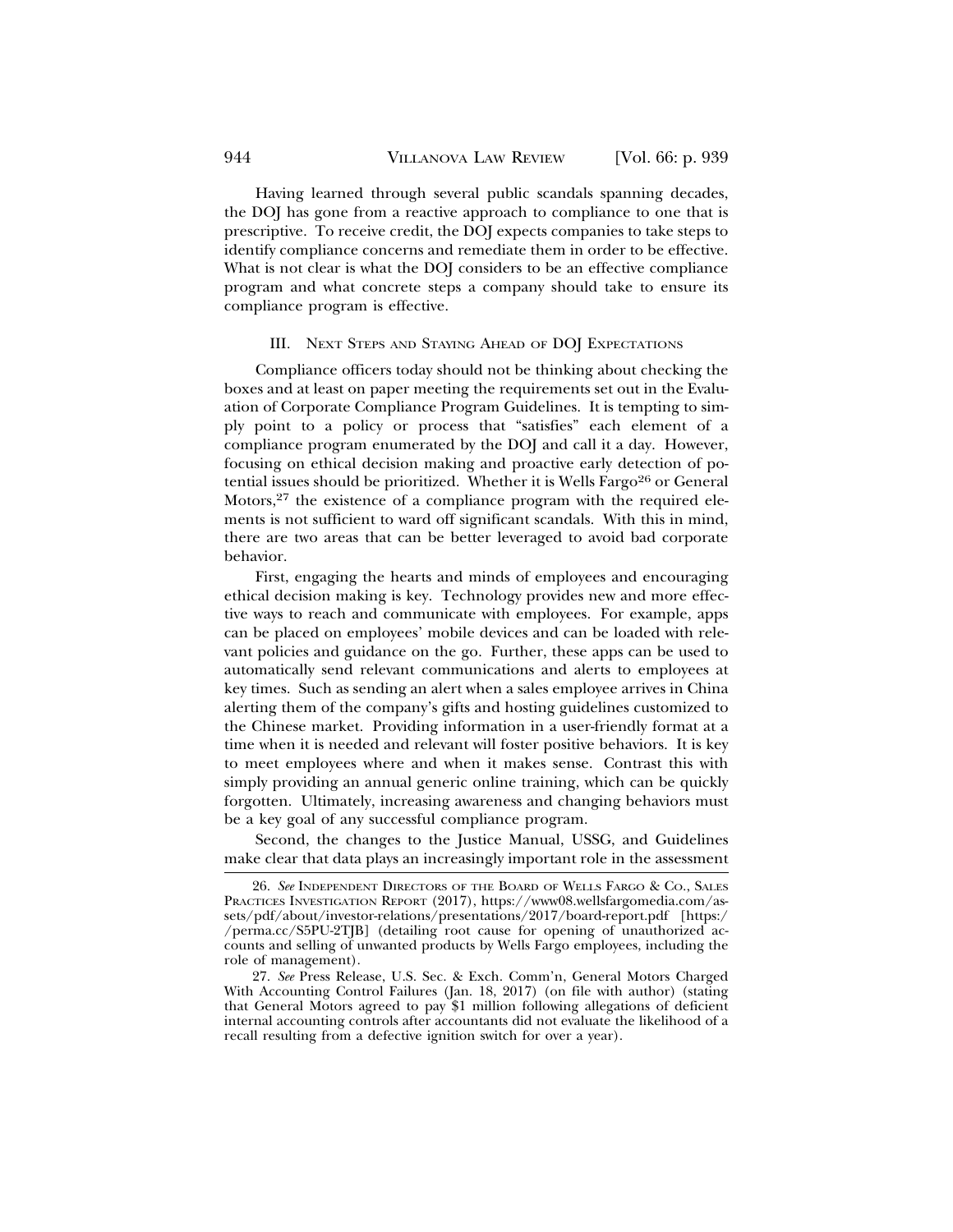Having learned through several public scandals spanning decades, the DOJ has gone from a reactive approach to compliance to one that is prescriptive. To receive credit, the DOJ expects companies to take steps to identify compliance concerns and remediate them in order to be effective. What is not clear is what the DOJ considers to be an effective compliance program and what concrete steps a company should take to ensure its compliance program is effective.

#### III. NEXT STEPS AND STAYING AHEAD OF DOJ EXPECTATIONS

Compliance officers today should not be thinking about checking the boxes and at least on paper meeting the requirements set out in the Evaluation of Corporate Compliance Program Guidelines. It is tempting to simply point to a policy or process that "satisfies" each element of a compliance program enumerated by the DOJ and call it a day. However, focusing on ethical decision making and proactive early detection of potential issues should be prioritized. Whether it is Wells Fargo<sup>26</sup> or General Motors, $2^7$  the existence of a compliance program with the required elements is not sufficient to ward off significant scandals. With this in mind, there are two areas that can be better leveraged to avoid bad corporate behavior.

First, engaging the hearts and minds of employees and encouraging ethical decision making is key. Technology provides new and more effective ways to reach and communicate with employees. For example, apps can be placed on employees' mobile devices and can be loaded with relevant policies and guidance on the go. Further, these apps can be used to automatically send relevant communications and alerts to employees at key times. Such as sending an alert when a sales employee arrives in China alerting them of the company's gifts and hosting guidelines customized to the Chinese market. Providing information in a user-friendly format at a time when it is needed and relevant will foster positive behaviors. It is key to meet employees where and when it makes sense. Contrast this with simply providing an annual generic online training, which can be quickly forgotten. Ultimately, increasing awareness and changing behaviors must be a key goal of any successful compliance program.

Second, the changes to the Justice Manual, USSG, and Guidelines make clear that data plays an increasingly important role in the assessment

<sup>26.</sup> *See* INDEPENDENT DIRECTORS OF THE BOARD OF WELLS FARGO & CO., SALES PRACTICES INVESTIGATION REPORT (2017), https://www08.wellsfargomedia.com/assets/pdf/about/investor-relations/presentations/2017/board-report.pdf [https:/ /perma.cc/S5PU-2TJB] (detailing root cause for opening of unauthorized accounts and selling of unwanted products by Wells Fargo employees, including the role of management).

<sup>27.</sup> *See* Press Release, U.S. Sec. & Exch. Comm'n, General Motors Charged With Accounting Control Failures (Jan. 18, 2017) (on file with author) (stating that General Motors agreed to pay \$1 million following allegations of deficient internal accounting controls after accountants did not evaluate the likelihood of a recall resulting from a defective ignition switch for over a year).